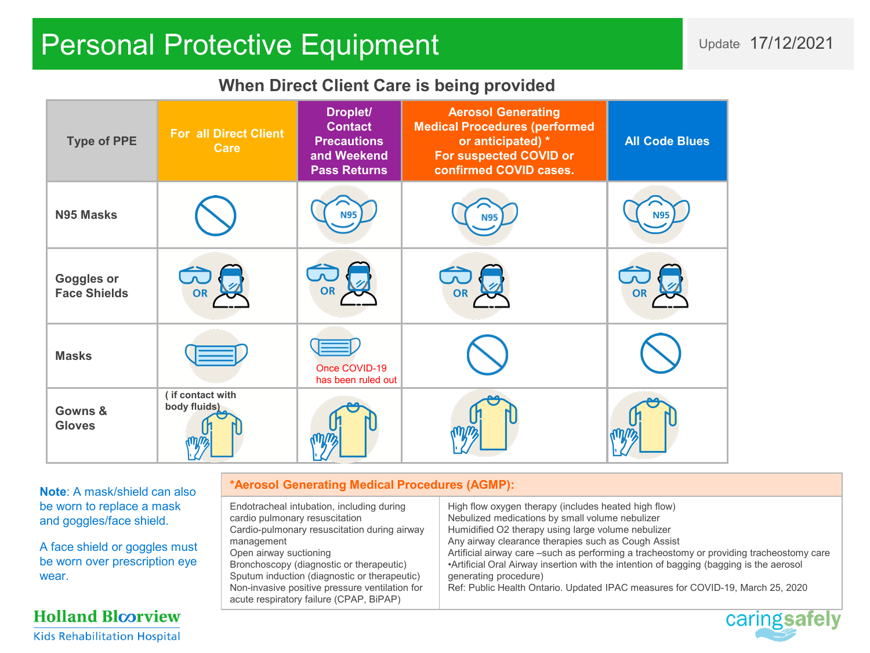# Personal Protective Equipment New York 17/12/2021

### **When Direct Client Care is being provided**

| <b>Type of PPE</b>                       | <b>For all Direct Client</b><br><b>Care</b> | Droplet/<br><b>Contact</b><br><b>Precautions</b><br>and Weekend<br><b>Pass Returns</b> | <b>Aerosol Generating</b><br><b>Medical Procedures (performed</b><br>or anticipated) *<br>For suspected COVID or<br>confirmed COVID cases. | <b>All Code Blues</b> |
|------------------------------------------|---------------------------------------------|----------------------------------------------------------------------------------------|--------------------------------------------------------------------------------------------------------------------------------------------|-----------------------|
| N95 Masks                                |                                             | <b>N95</b>                                                                             | <b>N95</b>                                                                                                                                 | <b>N95</b>            |
| <b>Goggles or</b><br><b>Face Shields</b> | <b>OR</b>                                   | OR                                                                                     |                                                                                                                                            | <b>OR</b>             |
| <b>Masks</b>                             |                                             | Once COVID-19<br>has been ruled out                                                    |                                                                                                                                            |                       |
| Gowns &<br><b>Gloves</b>                 | (if contact with<br>body fluids)            |                                                                                        |                                                                                                                                            |                       |

**Note**: A mask/shield can also be worn to replace a mask and goggles/face shield.

A face shield or goggles must be worn over prescription eye wear.

#### **Holland Bloorview Kids Rehabilitation Hospital**

#### **\*Aerosol Generating Medical Procedures (AGMP):**

Endotracheal intubation, including during cardio pulmonary resuscitation Cardio-pulmonary resuscitation during airway management Open airway suctioning Bronchoscopy (diagnostic or therapeutic) Sputum induction (diagnostic or therapeutic) Non-invasive positive pressure ventilation for acute respiratory failure (CPAP, BiPAP) High flow oxygen therapy (includes heated high flow) Nebulized medications by small volume nebulizer Humidified O2 therapy using large volume nebulizer Any airway clearance therapies such as Cough Assist Artificial airway care –such as performing a tracheostomy or providing tracheostomy care •Artificial Oral Airway insertion with the intention of bagging (bagging is the aerosol generating procedure) Ref: Public Health Ontario. Updated IPAC measures for COVID-19, March 25, 2020